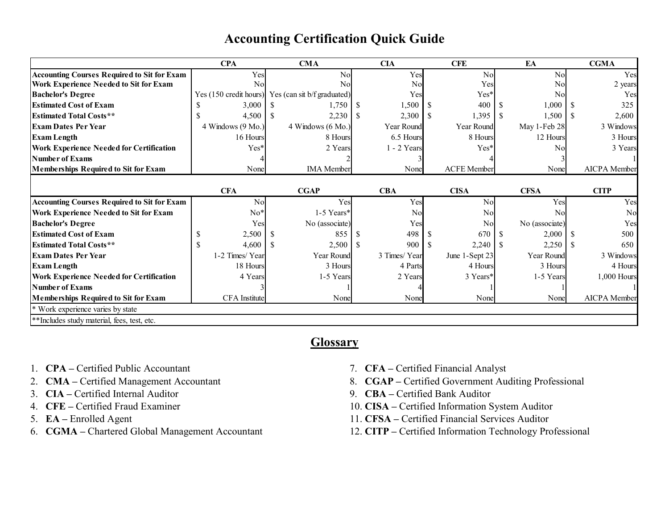|                                                    | <b>CPA</b>             | <b>CMA</b>                  |     | <b>CIA</b>   |               | <b>CFE</b>         |      | EA             |  | <b>CGMA</b>    |
|----------------------------------------------------|------------------------|-----------------------------|-----|--------------|---------------|--------------------|------|----------------|--|----------------|
| <b>Accounting Courses Required to Sit for Exam</b> | Yes                    | No                          |     | Yes          |               | No                 |      | N <sub>o</sub> |  | Yes            |
| Work Experience Needed to Sit for Exam             | No                     | No                          |     | No           |               | Yes                |      | N <sub>o</sub> |  | 2 years        |
| <b>Bachelor's Degree</b>                           | Yes (150 credit hours) | Yes (can sit b/f graduated) |     | Yes          |               | $Yes*$             |      | N <sub>o</sub> |  | Yes            |
| <b>Estimated Cost of Exam</b>                      | 3,000                  | 1,750                       | - S | 1,500        |               | 400                |      | 1,000          |  | 325            |
| <b>Estimated Total Costs**</b>                     | 4,500                  | 2,230<br>-S                 | -S  | 2,300        | <sup>\$</sup> | 1,395              | -S   | $1,500$ \$     |  | 2,600          |
| <b>Exam Dates Per Year</b>                         | 4 Windows (9 Mo.)      | 4 Windows (6 Mo.)           |     | Year Round   |               | Year Round         |      | May 1-Feb 28   |  | 3 Windows      |
| <b>Exam Length</b>                                 | 16 Hours               | 8 Hours                     |     | 6.5 Hours    |               | 8 Hours            |      | 12 Hours       |  | 3 Hours        |
| <b>Work Experience Needed for Certification</b>    | $Yes*$                 | 2 Years                     |     | 1 - 2 Years  |               | $Yes*$             |      | Nol            |  | 3 Years        |
| <b>Number of Exams</b>                             |                        |                             |     |              |               |                    |      |                |  |                |
| <b>Memberships Required to Sit for Exam</b>        | None                   | <b>IMA</b> Member           |     | None         |               | <b>ACFE</b> Member |      | None           |  | AICPA Member   |
|                                                    |                        |                             |     |              |               |                    |      |                |  |                |
|                                                    | <b>CFA</b>             | <b>CGAP</b>                 |     | <b>CBA</b>   |               | <b>CISA</b>        |      | <b>CFSA</b>    |  | <b>CITP</b>    |
| <b>Accounting Courses Required to Sit for Exam</b> | No                     | Yes                         |     | Yes          |               | No                 |      | Yes            |  | Yes            |
| Work Experience Needed to Sit for Exam             | $No*$                  | 1-5 Years*                  |     | No           |               | No                 |      | N <sub>o</sub> |  | N <sub>o</sub> |
| <b>Bachelor's Degree</b>                           | Yes                    | No (associate)              |     | Yes          |               | No                 |      | No (associate) |  | Yes            |
| <b>Estimated Cost of Exam</b>                      | 2,500                  | <sup>S</sup><br>855         |     | 498          |               | 670                |      | 2,000          |  | 500            |
| <b>Estimated Total Costs**</b>                     | <sup>\$</sup><br>4,600 | 2,500                       | -S  | 900          | S             | 2,240              | - \$ | 2,250          |  | 650            |
| <b>Exam Dates Per Year</b>                         | 1-2 Times/Year         | Year Round                  |     | 3 Times/Year |               | June 1-Sept 23     |      | Year Round     |  | 3 Windows      |
| <b>Exam Length</b>                                 | 18 Hours               | 3 Hours                     |     | 4 Parts      |               | 4 Hours            |      | 3 Hours        |  | 4 Hours        |
| <b>Work Experience Needed for Certification</b>    | 4 Years                | 1-5 Years                   |     | 2 Years      |               | 3 Years*           |      | 1-5 Years      |  | 1,000 Hours    |
| <b>Number of Exams</b>                             |                        |                             |     |              |               |                    |      |                |  |                |
| <b>Memberships Required to Sit for Exam</b>        | <b>CFA</b> Institute   | None                        |     | None         |               | None               |      | None           |  | AICPA Member   |
| * Work experience varies by state                  |                        |                             |     |              |               |                    |      |                |  |                |
| **Includes study material, fees, test, etc.        |                        |                             |     |              |               |                    |      |                |  |                |

# **Accounting Certification Quick Guide**

# **Glossary**

- 1. **CPA –** Certified Public Accountant
- 2. **CMA –** Certified Management Accountant
- 3. **CIA –** Certified Internal Auditor
- 4. **CFE –** Certified Fraud Examiner
- 5. **EA –** Enrolled Agent
- 6. **CGMA –** Chartered Global Management Accountant
- 7. **CFA –** Certified Financial Analyst
- 8. **CGAP –** Certified Government Auditing Professional
- 9. **CBA –** Certified Bank Auditor
- 10. **CISA –** Certified Information System Auditor
- 11. **CFSA –** Certified Financial Services Auditor
- 12. **CITP –** Certified Information Technology Professional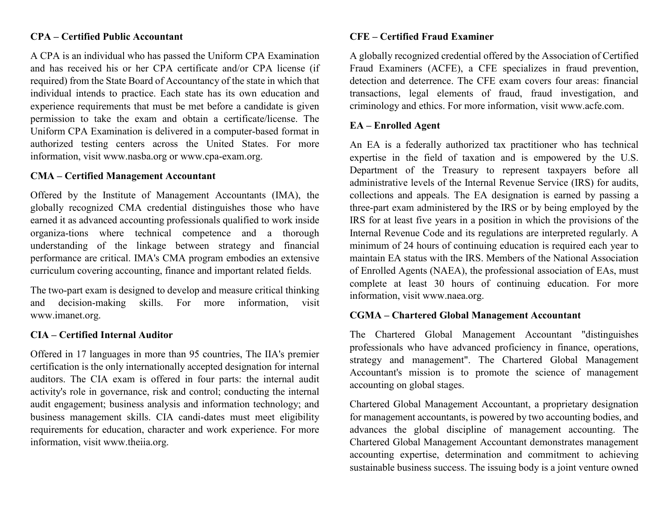# **CPA – Certified Public Accountant**

A CPA is an individual who has passed the Uniform CPA Examination and has received his or her CPA certificate and/or CPA license (if required) from the State Board of Accountancy of the state in which that individual intends to practice. Each state has its own education and experience requirements that must be met before a candidate is given permission to take the exam and obtain a certificate/license. The Uniform CPA Examination is delivered in a computer-based format in authorized testing centers across the United States. For more information, visit www.nasba.org or www.cpa-exam.org.

#### **CMA – Certified Management Accountant**

Offered by the Institute of Management Accountants (IMA), the globally recognized CMA credential distinguishes those who have earned it as advanced accounting professionals qualified to work inside organiza-tions where technical competence and a thorough understanding of the linkage between strategy and financial performance are critical. IMA's CMA program embodies an extensive curriculum covering accounting, finance and important related fields.

The two-part exam is designed to develop and measure critical thinking and decision-making skills. For more information, visit www.imanet.org.

### **CIA – Certified Internal Auditor**

Offered in 17 languages in more than 95 countries, The IIA's premier certification is the only internationally accepted designation for internal auditors. The CIA exam is offered in four parts: the internal audit activity's role in governance, risk and control; conducting the internal audit engagement; business analysis and information technology; and business management skills. CIA candi-dates must meet eligibility requirements for education, character and work experience. For more information, visit www.theiia.org.

#### **CFE – Certified Fraud Examiner**

A globally recognized credential offered by the Association of Certified Fraud Examiners (ACFE), a CFE specializes in fraud prevention, detection and deterrence. The CFE exam covers four areas: financial transactions, legal elements of fraud, fraud investigation, and criminology and ethics. For more information, visit www.acfe.com.

# **EA – Enrolled Agent**

An EA is a federally authorized tax practitioner who has technical expertise in the field of taxation and is empowered by the U.S. Department of the Treasury to represent taxpayers before all administrative levels of the Internal Revenue Service (IRS) for audits, collections and appeals. The EA designation is earned by passing a three-part exam administered by the IRS or by being employed by the IRS for at least five years in a position in which the provisions of the Internal Revenue Code and its regulations are interpreted regularly. A minimum of 24 hours of continuing education is required each year to maintain EA status with the IRS. Members of the National Association of Enrolled Agents (NAEA), the professional association of EAs, must complete at least 30 hours of continuing education. For more information, visit www.naea.org.

#### **CGMA – Chartered Global Management Accountant**

The Chartered Global Management Accountant "distinguishes professionals who have advanced proficiency in finance, operations, strategy and management". The Chartered Global Management Accountant's mission is to promote the science of management accounting on global stages.

Chartered Global Management Accountant, a proprietary designation for management accountants, is powered by two accounting bodies, and advances the global discipline of management accounting. The Chartered Global Management Accountant demonstrates management accounting expertise, determination and commitment to achieving sustainable business success. The issuing body is a joint venture owned